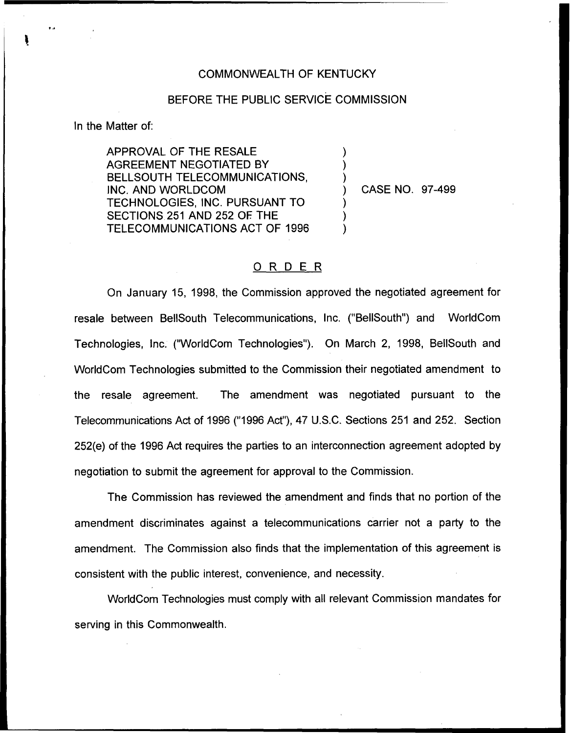## COMMONWEALTH OF KENTUCKY

## BEFORE THE PUBLIC SERVICE COMMISSION

) ) )

) ) )

In the Matter of:

APPROVAL OF THE RESALE AGREEMENT NEGOTIATED BY BELLSOUTH TELECOMMUNICATIONS, INC. AND WORLDCOM TECHNOLOGIES, INC. PURSUANT TO SECTIONS 251 AND 252 OF. THE TELECOMMUNICATIONS ACT OF 1996

) CASE NO. 97-499

## ORDER

On January 15, 1998, the Commission approved the negotiated agreement for resale between BellSouth Telecommunications, Inc. ("BellSouth") and WorldCom Technologies, Inc. ("WorldCom Technologies"). On March 2, 1998, BellSouth and WorldCom Technologies submitted to the Commission their negotiated amendment to the resale agreement. The amendment was negotiated pursuant to the Telecommunications Act of 1996 {"1996 Act"), 47 U.S.C. Sections 251 and 252. Section 252(e) of the 1996 Act requires the parties to an interconnection agreement adopted by negotiation to submit the agreement for approval to the Commission.

The Commission has reviewed the amendment and finds that no portion of the amendment discriminates against a telecommunications carrier not a party to the amendment. The Commission also finds that the implementation of this agreement is consistent with the public interest, convenience, and necessity.

WorldCom Technologies must comply with all relevant Commission mandates for serving in this Commonwealth.